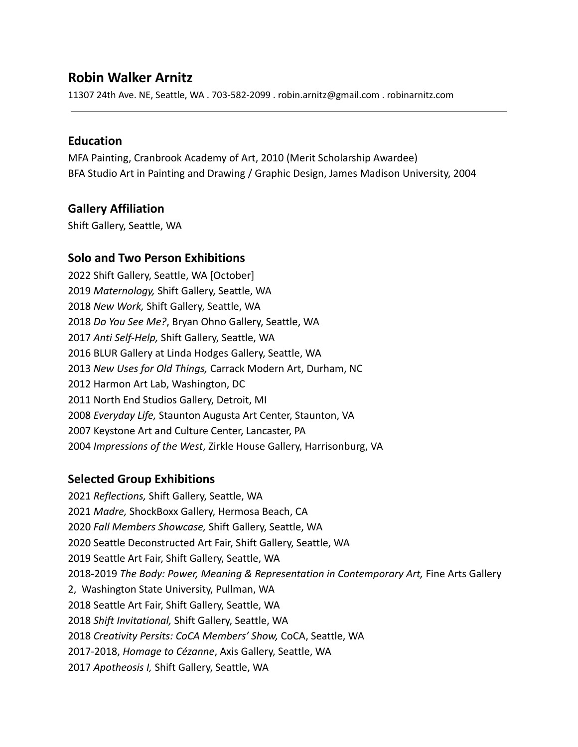# **Robin Walker Arnitz**

11307 24th Ave. NE, Seattle, WA . 703-582-2099 . robin.arnitz@gmail.com . robinarnitz.com

### **Education**

MFA Painting, Cranbrook Academy of Art, 2010 (Merit Scholarship Awardee) BFA Studio Art in Painting and Drawing / Graphic Design, James Madison University, 2004

# **Gallery Affiliation**

Shift Gallery, Seattle, WA

# **Solo and Two Person Exhibitions**

2022 Shift Gallery, Seattle, WA [October] 2019 *Maternology,* Shift Gallery, Seattle, WA 2018 *New Work,* Shift Gallery, Seattle, WA 2018 *Do You See Me?*, Bryan Ohno Gallery, Seattle, WA 2017 *Anti Self-Help,* Shift Gallery, Seattle, WA 2016 BLUR Gallery at Linda Hodges Gallery, Seattle, WA 2013 *New Uses for Old Things,* Carrack Modern Art, Durham, NC 2012 Harmon Art Lab, Washington, DC 2011 North End Studios Gallery, Detroit, MI 2008 *Everyday Life,* Staunton Augusta Art Center, Staunton, VA 2007 Keystone Art and Culture Center, Lancaster, PA 2004 *Impressions of the West*, Zirkle House Gallery, Harrisonburg, VA

# **Selected Group Exhibitions**

2021 *Reflections,* Shift Gallery, Seattle, WA 2021 *Madre,* ShockBoxx Gallery, Hermosa Beach, CA 2020 *Fall Members Showcase,* Shift Gallery, Seattle, WA 2020 Seattle Deconstructed Art Fair, Shift Gallery, Seattle, WA 2019 Seattle Art Fair, Shift Gallery, Seattle, WA 2018-2019 *The Body: Power, Meaning & Representation in Contemporary Art,* Fine Arts Gallery 2, Washington State University, Pullman, WA 2018 Seattle Art Fair, Shift Gallery, Seattle, WA 2018 *Shift Invitational,* Shift Gallery, Seattle, WA 2018 *Creativity Persits: CoCA Members' Show,* CoCA, Seattle, WA 2017-2018, *Homage to Cézanne*, Axis Gallery, Seattle, WA 2017 *Apotheosis I,* Shift Gallery, Seattle, WA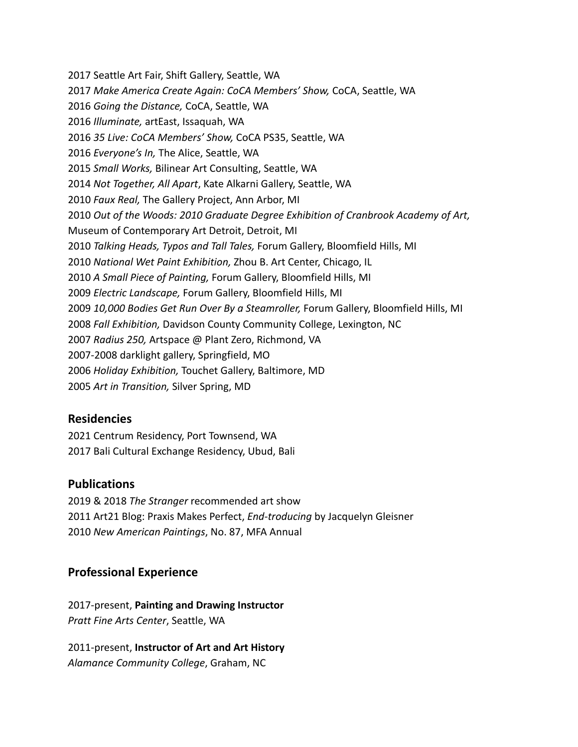2017 Seattle Art Fair, Shift Gallery, Seattle, WA *Make America Create Again: CoCA Members' Show,* CoCA, Seattle, WA *Going the Distance,* CoCA, Seattle, WA *Illuminate,* artEast, Issaquah, WA *35 Live: CoCA Members' Show,* CoCA PS35, Seattle, WA *Everyone's In,* The Alice, Seattle, WA *Small Works,* Bilinear Art Consulting, Seattle, WA *Not Together, All Apart*, Kate Alkarni Gallery, Seattle, WA *Faux Real,* The Gallery Project, Ann Arbor, MI *Out of the Woods: 2010 Graduate Degree Exhibition of Cranbrook Academy of Art,* Museum of Contemporary Art Detroit, Detroit, MI *Talking Heads, Typos and Tall Tales,* Forum Gallery, Bloomfield Hills, MI *National Wet Paint Exhibition,* Zhou B. Art Center, Chicago, IL *A Small Piece of Painting,* Forum Gallery, Bloomfield Hills, MI *Electric Landscape,* Forum Gallery, Bloomfield Hills, MI *10,000 Bodies Get Run Over By a Steamroller,* Forum Gallery, Bloomfield Hills, MI *Fall Exhibition,* Davidson County Community College, Lexington, NC *Radius 250,* Artspace @ Plant Zero, Richmond, VA 2007-2008 darklight gallery, Springfield, MO *Holiday Exhibition,* Touchet Gallery, Baltimore, MD *Art in Transition,* Silver Spring, MD

#### **Residencies**

2021 Centrum Residency, Port Townsend, WA 2017 Bali Cultural Exchange Residency, Ubud, Bali

#### **Publications**

2019 & 2018 *The Stranger* recommended art show 2011 Art21 Blog: Praxis Makes Perfect, *End-troducing* by Jacquelyn Gleisner 2010 *New American Paintings*, No. 87, MFA Annual

#### **Professional Experience**

2017-present, **Painting and Drawing Instructor** *Pratt Fine Arts Center*, Seattle, WA

2011-present, **Instructor of Art and Art History** *Alamance Community College*, Graham, NC